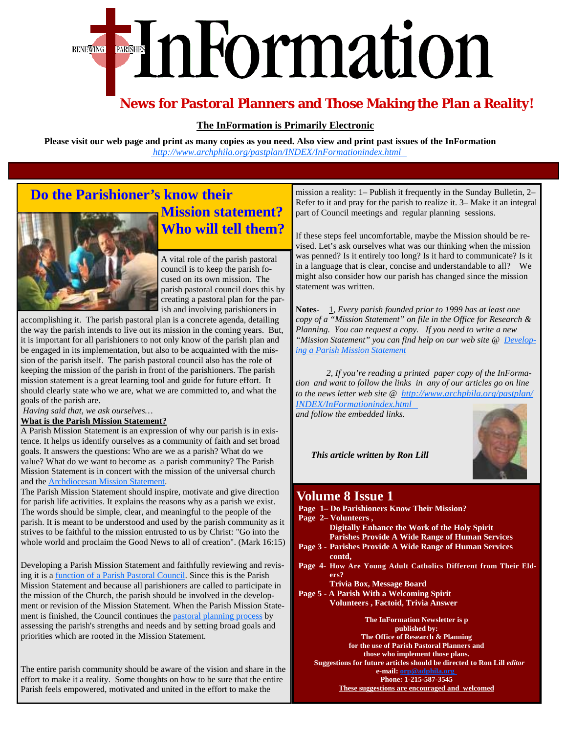# EInFormation **RENEWING**

## **News for Pastoral Planners and Those Making the Plan a Reality!**

#### **The InFormation is Primarily Electronic**

**Please visit our web page and print as many copies as you need. Also view and print past issues of the InFormation**   *[http://www.archphila.org/pastplan/](http://www.archphila.org/pastplan/INDEX/InFormationindex.html)INDEX/InFormationindex.html*

## **Do the Parishioner's know their**



**Mission statement? Who will tell them?** 

A vital role of the parish pastoral council is to keep the parish focused on its own mission. The parish pastoral council does this by creating a pastoral plan for the parish and involving parishioners in

accomplishing it. The parish pastoral plan is a concrete agenda, detailing the way the parish intends to live out its mission in the coming years. But, it is important for all parishioners to not only know of the parish plan and be engaged in its implementation, but also to be acquainted with the mission of the parish itself. The parish pastoral council also has the role of keeping the mission of the parish in front of the parishioners. The parish mission statement is a great learning tool and guide for future effort. It should clearly state who we are, what we are committed to, and what the goals of the parish are.

*Having said that, we ask ourselves…*

#### **What is the Parish Mission Statement?**

A Parish Mission Statement is an expression of why our parish is in existence. It helps us identify ourselves as a community of faith and set broad goals. It answers the questions: Who are we as a parish? What do we value? What do we want to become as a parish community? The Parish Mission Statement is in concert with the mission of the universal church and the [Archdiocesan Mission Statement.](http://www.archphila.org/mission.htm)

The Parish Mission Statement should inspire, motivate and give direction for parish life activities. It explains the reasons why as a parish we exist. The words should be simple, clear, and meaningful to the people of the parish. It is meant to be understood and used by the parish community as it strives to be faithful to the mission entrusted to us by Christ: "Go into the whole world and proclaim the Good News to all of creation". (Mark 16:15)

Developing a Parish Mission Statement and faithfully reviewing and revising it is a [function of a Parish Pastoral Council.](http://www.archphila.org/pastplan/ParishPastoralCouncils/function.html) Since this is the Parish Mission Statement and because all parishioners are called to participate in the mission of the Church, the parish should be involved in the development or revision of the Mission Statement. When the Parish Mission Statement is finished, the Council continues the [pastoral planning process](http://www.archphila.org/pastplan/INDEX/PPPindex.html) by assessing the parish's strengths and needs and by setting broad goals and priorities which are rooted in the Mission Statement.

The entire parish community should be aware of the vision and share in the effort to make it a reality. Some thoughts on how to be sure that the entire Parish feels empowered, motivated and united in the effort to make the

mission a reality: 1– Publish it frequently in the Sunday Bulletin, 2– Refer to it and pray for the parish to realize it. 3– Make it an integral part of Council meetings and regular planning sessions.

If these steps feel uncomfortable, maybe the Mission should be revised. Let's ask ourselves what was our thinking when the mission was penned? Is it entirely too long? Is it hard to communicate? Is it in a language that is clear, concise and understandable to all? We might also consider how our parish has changed since the mission statement was written.

**Notes-** 1, *Every parish founded prior to 1999 has at least one copy of a "Mission Statement" on file in the Office for Research & Planning. You can request a copy. If you need to write a new ["Mission Statement" you can find help on our web site @ Develop](http://www.archphila.org/pastplan/ParishMissionStatements/developing.html)ing a Parish Mission Statement* 

 *2, If you're reading a printed paper copy of the InFormation and want to follow the links in any of our articles go on line [to the news letter web site @ http://www.archphila.org/pastplan/](http://www.archphila.org/pastplan/INDEX/InFormationindex.html)*

*INDEX/InFormationindex.html and follow the embedded links.* 

 *This article written by Ron Lill*

### **Volume 8 Issue 1**

- **Page 1– Do Parishioners Know Their Mission?**
- **Page 2– Volunteers , Digitally Enhance the Work of the Holy Spirit Parishes Provide A Wide Range of Human Services Page 3 - Parishes Provide A Wide Range of Human Services contd, Page 4- How Are Young Adult Catholics Different from Their Eld ers? Trivia Box, Message Board Page 5 - A Parish With a Welcoming Spirit Volunteers , Factoid, Trivia Answer The InFormation Newsletter is p published by: The Office of Research & Planning for the use of Parish Pastoral Planners and those who implement those plans. Suggestions for future articles should be directed to Ron Lill** *editor*

**e-mail: orp@adphila.org** 

**Phone: 1-215-587-3545 These suggestions are encouraged and welcomed**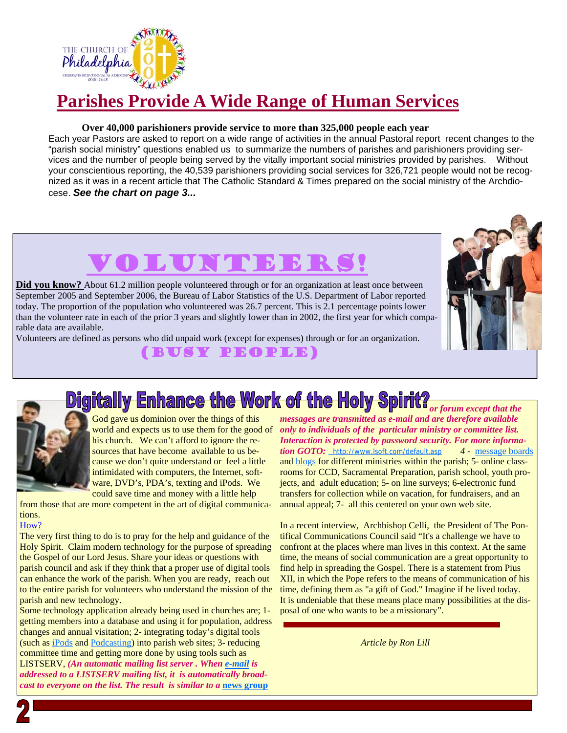

## **Parishes Provide A Wide Range of Human Services**

#### **Over 40,000 parishioners provide service to more than 325,000 people each year**

Each year Pastors are asked to report on a wide range of activities in the annual Pastoral report recent changes to the "parish social ministry" questions enabled us to summarize the numbers of parishes and parishioners providing services and the number of people being served by the vitally important social ministries provided by parishes. Without your conscientious reporting, the 40,539 parishioners providing social services for 326,721 people would not be recognized as it was in a recent article that The Catholic Standard & Times prepared on the social ministry of the Archdiocese. *See the chart on page 3...*

## **LA UNE**

Did you know? About 61.2 million people volunteered through or for an organization at least once between September 2005 and September 2006, the Bureau of Labor Statistics of the U.S. Department of Labor reported today. The proportion of the population who volunteered was 26.7 percent. This is 2.1 percentage points lower than the volunteer rate in each of the prior 3 years and slightly lower than in 2002, the first year for which comparable data are available.

Volunteers are defined as persons who did unpaid work (except for expenses) through or for an organization.

### (Busy People)





God gave us dominion over the things of this world and expects us to use them for the good of his church. We can't afford to ignore the resources that have become available to us because we don't quite understand or feel a little intimidated with computers, the Internet, software, DVD's, PDA's, texting and iPods. We could save time and money with a little help

from those that are more competent in the art of digital communications.

#### How?

The very first thing to do is to pray for the help and guidance of the Holy Spirit. Claim modern technology for the purpose of spreading the Gospel of our Lord Jesus. Share your ideas or questions with parish council and ask if they think that a proper use of digital tools can enhance the work of the parish. When you are ready, reach out to the entire parish for volunteers who understand the mission of the parish and new technology.

Some technology application already being used in churches are; 1 getting members into a database and using it for population, address changes and annual visitation; 2- integrating today's digital tools (such as iPods and Podcasting) into parish web sites; 3- reducing committee time and getting more done by using tools such as LISTSERV, *(An automatic mailing list server . When e-mail is addressed to a LISTSERV mailing list, it is automatically broadcast to everyone on the list. The result is similar to a news group* 

**Digitally Enhance the Work of the Holy Spirit?** For forum except that the *messages are transmitted as e-mail and are therefore available only to individuals of the particular ministry or committee list. Interaction is protected by password security. For more information GOTO:* http://www.lsoft.com/default.asp *4 -* message boards and blogs for different ministries within the parish; 5- online classrooms for CCD, Sacramental Preparation, parish school, youth projects, and adult education; 5- on line surveys; 6-electronic fund transfers for collection while on vacation, for fundraisers, and an annual appeal; 7- all this centered on your own web site.

> In a recent interview, Archbishop Celli, the President of The Pontifical Communications Council said "It's a challenge we have to confront at the places where man lives in this context. At the same time, the means of social communication are a great opportunity to find help in spreading the Gospel. There is a statement from Pius XII, in which the Pope refers to the means of communication of his time, defining them as "a gift of God." Imagine if he lived today. It is undeniable that these means place many possibilities at the disposal of one who wants to be a missionary".

> > *Article by Ron Lill*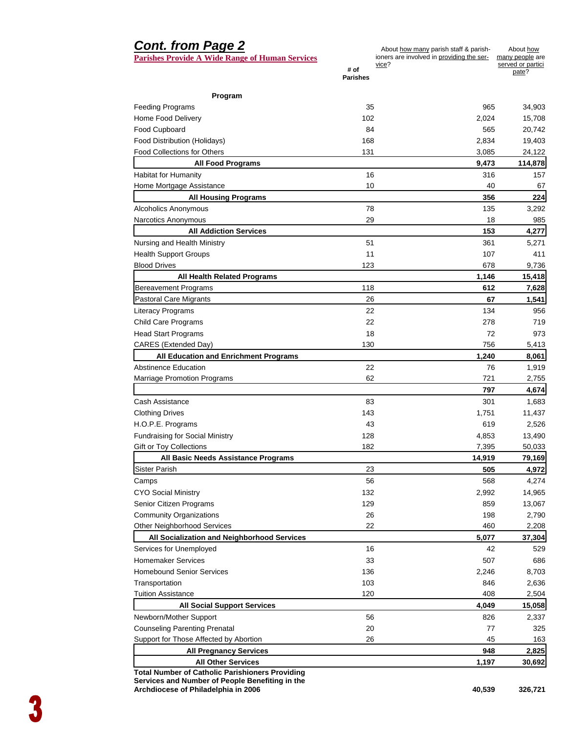#### *Cont. from Page 2*  **Parishes Provide A Wide Range of Human Services # of Parishes**  About how many parish staff & parishioners are involved in providing the service? About how many people are served or partici pate? **Program**  Feeding Programs 35 965 34,903 Home Food Delivery 102 2,024 15,708 Food Cupboard 84 565 20,742 Food Distribution (Holidays) 168 2,834 19,403 Food Collections for Others 131 131 3,085 24,122 **All Food Programs 9,473 114,878**  Habitat for Humanity 16 316 316 157 Home Mortgage Assistance **10** 67 **All Housing Programs 356 224**  Alcoholics Anonymous and the set of the set of the set of the set of the set of the set of the set of the set of the set of the set of the set of the set of the set of the set of the set of the set of the set of the set of Narcotics Anonymous 29 18 18 985 **All Addiction Services 153 4,277**  Nursing and Health Ministry **51** 5.271 5,271 Health Support Groups 11 107 411 Blood Drives 123 678 9,736 **All Health Related Programs 1,146 15,418**  Bereavement Programs 118 **612 7,628**  Pastoral Care Migrants 26 **67 1,541**  Literacy Programs 8 22 2 2 3 3 4 3 956 Child Care Programs 22 278 719 Head Start Programs 18 72 973 CARES (Extended Day) 130 130 756 5,413 All Education and Enrichment Programs **1,240** 8,061 **8,061** Abstinence Education 22 20 1,919 1,919 Marriage Promotion Programs and the control of the control of the control of the control of the control of the control of the control of the control of the control of the control of the control of the control of the contro  **797 4,674**  Cash Assistance **83** 301 1,683 Clothing Drives 2008 11,437 11,437 11,437 11,437 11,437 11,437 11,437 11,437 11,437 H.O.P.E. Programs 43 619 2,526 Fundraising for Social Ministry **128** 13,490 13,490 Gift or Toy Collections 60,033 60,033 60,033 **All Basic Needs Assistance Programs 14,919 79,169**  Sister Parish 23 **505 4,972**  Camps 56 568 4,274 CYO Social Ministry 14,965 2,992 14,965 Senior Citizen Programs **129** 13,067 13,067 Community Organizations 26 198 2,790 Other Neighborhood Services 22 460 2,208 **All Socialization and Neighborhood Services 5,077 37,304**  Services for Unemployed **16** 16 **42** 529 Homemaker Services 33 507 686 Homebound Senior Services and the control of the control of the control of the control of the control of the control of the control of the control of the control of the control of the control of the control of the control Transportation 103 846 2,636 Tuition Assistance 120 and 120 120 408 2,504 **All Social Support Services 4,049 15,058**  Newborn/Mother Support 56 826 2,337 Counseling Parenting Prenatal 20 20 77 325 Support for Those Affected by Abortion 163 163 163 163 **All Pregnancy Services 948 2,825 All Other Services 1,197 30,692**

**Total Number of Catholic Parishioners Providing Services and Number of People Benefiting in the Archdiocese of Philadelphia in 2006** 40,539 40,539 40,539 326,721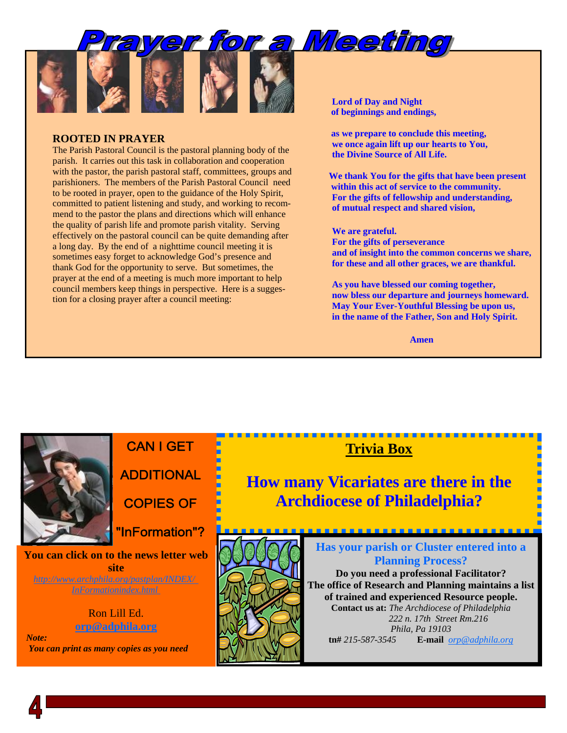

#### **ROOTED IN PRAYER**

The Parish Pastoral Council is the pastoral planning body of the parish. It carries out this task in collaboration and cooperation with the pastor, the parish pastoral staff, committees, groups and parishioners. The members of the Parish Pastoral Council need to be rooted in prayer, open to the guidance of the Holy Spirit, committed to patient listening and study, and working to recommend to the pastor the plans and directions which will enhance the quality of parish life and promote parish vitality. Serving effectively on the pastoral council can be quite demanding after a long day. By the end of a nighttime council meeting it is sometimes easy forget to acknowledge God's presence and thank God for the opportunity to serve. But sometimes, the prayer at the end of a meeting is much more important to help council members keep things in perspective. Here is a suggestion for a closing prayer after a council meeting:

 **Lord of Day and Night of beginnings and endings,** 

 **as we prepare to conclude this meeting, we once again lift up our hearts to You, the Divine Source of All Life.** 

 **We thank You for the gifts that have been present within this act of service to the community. For the gifts of fellowship and understanding, of mutual respect and shared vision,** 

#### **We are grateful.**

**For the gifts of perseverance and of insight into the common concerns we share, for these and all other graces, we are thankful.** 

 **As you have blessed our coming together, now bless our departure and journeys homeward. May Your Ever-Youthful Blessing be upon us, in the name of the Father, Son and Holy Spirit.** 

 **Amen** 



## **CAN I GET ADDITIONAL**

**COPIES OF** 

"InFormation"?

**You can click on to the news letter web site**  *[http://www.archphila.org/pastplan/](http://www.archphila.org/pastplan/INDEX/InFormationindex.html)INDEX/ InFormationindex.html*

#### Ron Lill Ed. **orp@adphila.org**

 *Note: You can print as many copies as you need* 



## **Trivia Box**

**How many Vicariates are there in the Archdiocese of Philadelphia?**

> **Has your parish or Cluster entered into a Planning Process? Do you need a professional Facilitator? The office of Research and Planning maintains a list of trained and experienced Resource people. Contact us at:** *The Archdiocese of Philadelphia 222 n. 17th Street Rm.216 Phila, Pa 19103*  **tn#** *215-587-3545* **E-mail** *orp@adphila.org*

----------------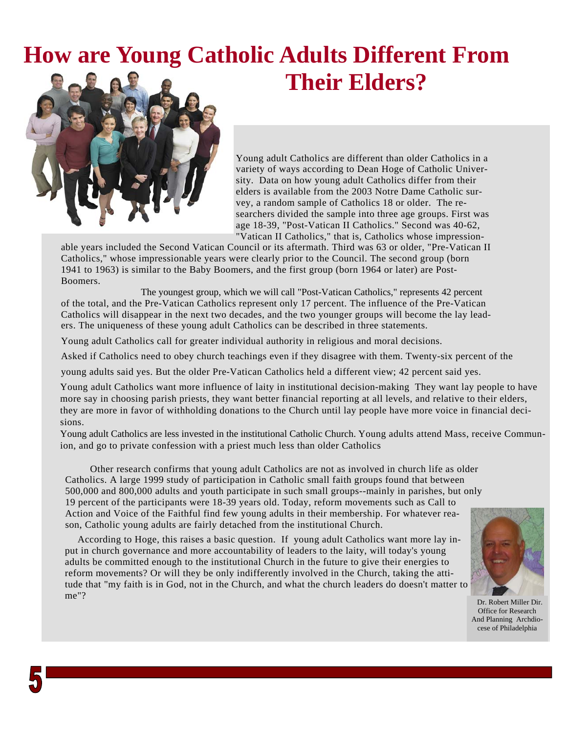## **How are Young Catholic Adults Different From Their Elders?**



Young adult Catholics are different than older Catholics in a variety of ways according to Dean Hoge of Catholic University. Data on how young adult Catholics differ from their elders is available from the 2003 Notre Dame Catholic survey, a random sample of Catholics 18 or older. The researchers divided the sample into three age groups. First was age 18-39, "Post-Vatican II Catholics." Second was 40-62, "Vatican II Catholics," that is, Catholics whose impression-

able years included the Second Vatican Council or its aftermath. Third was 63 or older, "Pre-Vatican II Catholics," whose impressionable years were clearly prior to the Council. The second group (born 1941 to 1963) is similar to the Baby Boomers, and the first group (born 1964 or later) are Post-Boomers.

 The youngest group, which we will call "Post-Vatican Catholics," represents 42 percent of the total, and the Pre-Vatican Catholics represent only 17 percent. The influence of the Pre-Vatican Catholics will disappear in the next two decades, and the two younger groups will become the lay leaders. The uniqueness of these young adult Catholics can be described in three statements.

Young adult Catholics call for greater individual authority in religious and moral decisions.

Asked if Catholics need to obey church teachings even if they disagree with them. Twenty-six percent of the

young adults said yes. But the older Pre-Vatican Catholics held a different view; 42 percent said yes.

Young adult Catholics want more influence of laity in institutional decision-making They want lay people to have more say in choosing parish priests, they want better financial reporting at all levels, and relative to their elders, they are more in favor of withholding donations to the Church until lay people have more voice in financial decisions.

Young adult Catholics are less invested in the institutional Catholic Church. Young adults attend Mass, receive Communion, and go to private confession with a priest much less than older Catholics

Other research confirms that young adult Catholics are not as involved in church life as older Catholics. A large 1999 study of participation in Catholic small faith groups found that between 500,000 and 800,000 adults and youth participate in such small groups--mainly in parishes, but only 19 percent of the participants were 18-39 years old. Today, reform movements such as Call to Action and Voice of the Faithful find few young adults in their membership. For whatever reason, Catholic young adults are fairly detached from the institutional Church.

According to Hoge, this raises a basic question. If young adult Catholics want more lay input in church governance and more accountability of leaders to the laity, will today's young adults be committed enough to the institutional Church in the future to give their energies to reform movements? Or will they be only indifferently involved in the Church, taking the attitude that "my faith is in God, not in the Church, and what the church leaders do doesn't matter to me"?



 Dr. Robert Miller Dir. Office for Research And Planning Archdiocese of Philadelphia